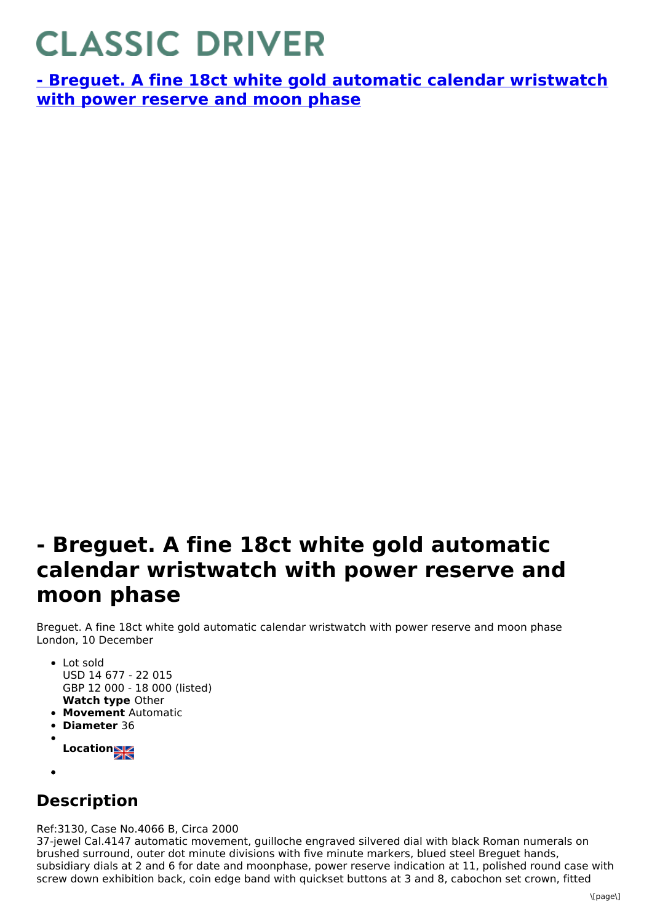## **CLASSIC DRIVER**

**- Breguet. A fine 18ct white gold automatic calendar [wristwatch](https://www.classicdriver.com/en/watch/269313) with power reserve and moon phase**

## **- Breguet. A fine 18ct white gold automatic calendar wristwatch with power reserve and moon phase**

Breguet. A fine 18ct white gold automatic calendar wristwatch with power reserve and moon phase London, 10 December

- **Watch type** Other Lot sold USD 14 677 - 22 015 GBP 12 000 - 18 000 (listed)
- **Movement** Automatic
- **Diameter** 36
- **Location**
- 

## **Description**

Ref:3130, Case No.4066 B, Circa 2000

37-jewel Cal.4147 automatic movement, guilloche engraved silvered dial with black Roman numerals on brushed surround, outer dot minute divisions with five minute markers, blued steel Breguet hands, subsidiary dials at 2 and 6 for date and moonphase, power reserve indication at 11, polished round case with screw down exhibition back, coin edge band with quickset buttons at 3 and 8, cabochon set crown, fitted